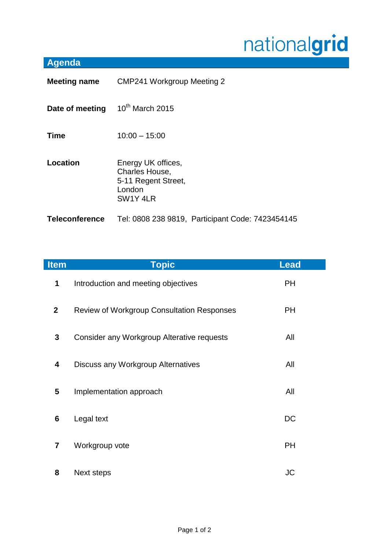## nationalgrid

## **Agenda**

| <b>Meeting name</b>   | <b>CMP241 Workgroup Meeting 2</b>                                                 |  |
|-----------------------|-----------------------------------------------------------------------------------|--|
| Date of meeting       | $10^{th}$ March 2015                                                              |  |
| <b>Time</b>           | $10:00 - 15:00$                                                                   |  |
| Location              | Energy UK offices,<br>Charles House,<br>5-11 Regent Street,<br>London<br>SW1Y 4LR |  |
| <b>Teleconference</b> | Tel: 0808 238 9819, Participant Code: 7423454145                                  |  |

| <b>Item</b>    | <b>Topic</b>                                      | <b>Lead</b> |
|----------------|---------------------------------------------------|-------------|
| 1              | Introduction and meeting objectives               | <b>PH</b>   |
| $\overline{2}$ | <b>Review of Workgroup Consultation Responses</b> | <b>PH</b>   |
| $\mathbf{3}$   | Consider any Workgroup Alterative requests        | All         |
| 4              | Discuss any Workgroup Alternatives                | All         |
| 5              | Implementation approach                           | All         |
| 6              | Legal text                                        | DC          |
| $\overline{7}$ | Workgroup vote                                    | <b>PH</b>   |
| 8              | Next steps                                        | JC          |